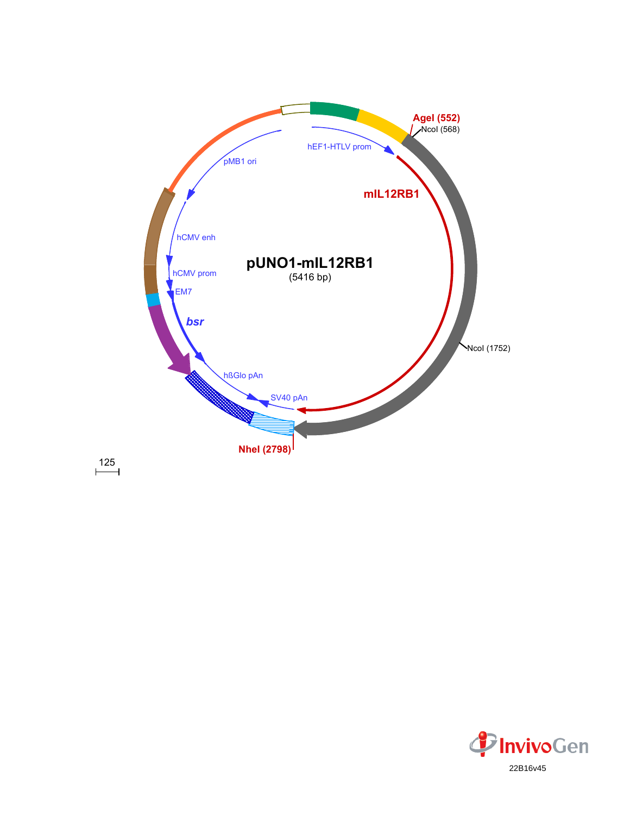

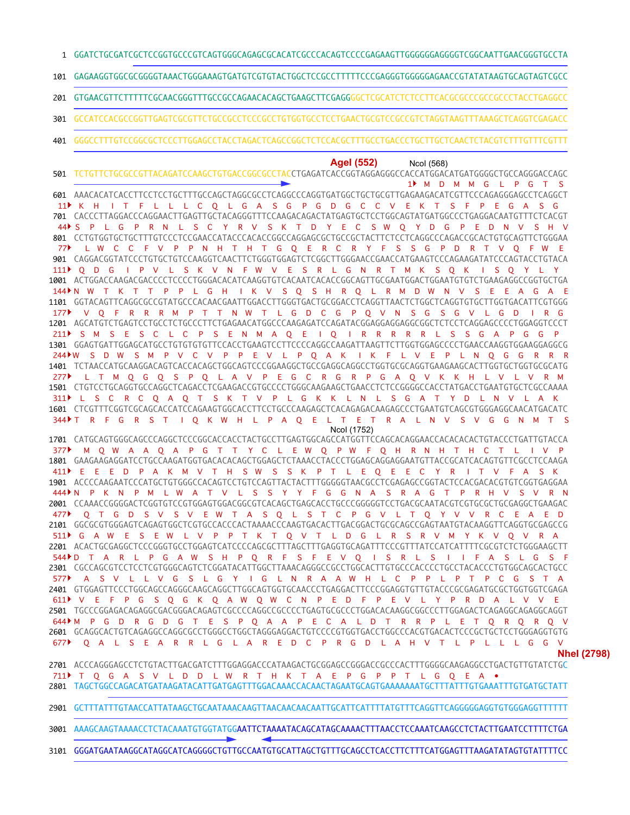GGATCTGCGATCGCTCCGGTGCCCGTCAGTGGGCAGAGCGCACATCGCCCACAGTCCCCGAGAAGTTGGGGGGAGGGGTCGGCAATTGAACGGGTGCCTA

GAGAAGGTGGCGCGGGGTAAACTGGGAAAGTGATGTCGTGTACTGGCTCCGCCTTTTTCCCGAGGGTGGGGGAGAACCGTATATAAGTGCAGTAGTCGCC

GTGAACGTTCTTTTTCGCAACGGGTTTGCCGCCAGAACACAGCTGAAGCTTCGAGGGGCTCGCATCTCTCCTTCACGCGCCCGCCGCCCTACCTGAGGCC 

- GCCATCCACGCCGGTTGAGTCGCGTTCTGCCGCCTCCCGCCTGTGGTGCCTCCTGAACTGCGTCCGCCGTCTAGGTAAGTTTAAAGCTCAGGTCGAGACC
- GGGCCTTTGTCCGGCGCTCCCTTGGAGCCTACCTAGACTCAGCCGGCTCTCCACGCTTTGCCTGACCCTGCTTGCTCAACTCTACGTCTTTGTTTCGTTT

## **AgeI (552)** NcoI (568)

TCTGTTCTGCGCCGTTACAGATCCAAGCTGTGACCGGCGCCTACCTGAGATCACCGGTAGGAGGGCCACCATGGACATGATGGGGCTGCCAGGGACCAGC

AAACACATCACCTTCCTCCTGCTTTGCCAGCTAGGCGCCTCAGGCCCAGGTGATGGCTGCTGCGTTGAGAAGACATCGTTCCCAGAGGGAGCCTCAGGCT CACCCTTAGGACCCAGGAACTTGAGTTGCTACAGGGTTTCCAAGACAGACTATGAGTGCTCCTGGCAGTATGATGGCCCTGAGGACAATGTTTCTCACGT CCTGTGGTGCTGCTTTGTCCCTCCGAACCATACCCACACCGGCCAGGAGCGCTGCCGCTACTTCTCCTCAGGCCCAGACCGCACTGTGCAGTTCTGGGAA CAGGACGGTATCCCTGTGCTGTCCAAGGTCAACTTCTGGGTGGAGTCTCGGCTTGGGAACCGAACCATGAAGTCCCAGAAGATATCCCAGTACCTGTACA 1001 ACTGGACCAAGACGACCCCTCCCCTGGGACACATCAAGGTGTCACAATCACACCGGCAGTTGCGAATGGACTGGAATGTCTCTGAAGAGGCCGGTGCTGA GGTACAGTTCAGGCGCCGTATGCCCACAACGAATTGGACCTTGGGTGACTGCGGACCTCAGGTTAACTCTGGCTCAGGTGTGCTTGGTGACATTCGTGGG AGCATGTCTGAGTCCTGCCTCTGCCCTTCTGAGAACATGGCCCAAGAGATCCAGATACGGAGGAGGAGGCGGCTCTCCTCAGGAGCCCCTGGAGGTCCCT GGAGTGATTGGAGCATGCCTGTGTGTGTTCCACCTGAAGTCCTTCCCCAGGCCAAGATTAAGTTCTTGGTGGAGCCCCTGAACCAAGGTGGAAGGAGGCG TCTAACCATGCAAGGACAGTCACCACAGCTGGCAGTCCCGGAAGGCTGCCGAGGCAGGCCTGGTGCGCAGGTGAAGAAGCACTTGGTGCTGGTGCGCATG CTGTCCTGCAGGTGCCAGGCTCAGACCTCGAAGACCGTGCCCCTGGGCAAGAAGCTGAACCTCTCCGGGGCCACCTATGACCTGAATGTGCTCGCCAAAA 1601 CTCGTTTCGGTCGCAGCACCATCCAGAAGTGGCACCTTCCTGCCCAAGAGCTCACAGAGACAAGAGCCCTGAATGTCAGCGTGGGAGGCAACATGACATC CATGCAGTGGGCAGCCCAGGCTCCCGGCACCACCTACTGCCTTGAGTGGCAGCCATGGTTCCAGCACAGGAACCACACACACTGTACCCTGATTGTACCA 1801 GAAGAAGAGGATCCTGCCAAGATGGTGACACACAGCTGGAGCTCTAAACCTACCCTGGAGCAGGAGGAATGTTACCGCATCACAGTGTTCGCCTCCAAGA ACCCCAAGAATCCCATGCTGTGGGCCACAGTCCTGTCCAGTTACTACTTTGGGGGTAACGCCTCGAGAGCCGGTACTCCACGACACGTGTCGGTGAGGAA CCAAACCGGGGACTCGGTGTCCGTGGAGTGGACGGCGTCACAGCTGAGCACCTGCCCGGGGGTCCTGACGCAATACGTCGTGCGCTGCGAGGCTGAAGAC GGCGCGTGGGAGTCAGAGTGGCTCGTGCCACCCACTAAAACCCAAGTGACACTTGACGGACTGCGCAGCCGAGTAATGTACAAGGTTCAGGTGCGAGCCG 2201 ACACTGCGAGGCTCCCGGGTGCCTGGAGTCATCCCCAGCGCTTTAGCTTTGAGGTGCAGATTTCCCGTTTATCCATCATTTTCGCGTCTCTGGGAAGCTT 2301 CGCCAGCGTCCTCCTCGTGGGCAGTCTCGGATACATTGGCTTAAACAGGGCCGCCTGGCACTTGTGCCCACCCCTGCCTACACCCTGTGGCAGCACTGCC GTGGAGTTCCCTGGCAGCCAGGGCAAGCAGGCTTGGCAGTGGTGCAACCCTGAGGACTTCCCGGAGGTGTTGTACCCGCGAGATGCGCTGGTGGTCGAGA TGCCCGGAGACAGAGGCGACGGGACAGAGTCGCCCCAGGCCGCCCCTGAGTGCGCCCTGGACACAAGGCGGCCCTTGGAGACTCAGAGGCAGAGGCAGGT 2601 GCAGGCACTGTCAGAGGCCAGGCGCCTGGGCCTGGCTAGGGAGGACTGTCCCCGTGGTGACCTGGCCCACGTGACACTCCCGCTGCTCCTGGGAGGTGTG 2701 ACCCAGGGAGCCTCTGTACTTGACGATCTTTGGAGGACCCATAAGACTGCGGAGCCGGGACCGCCCACTTTGGGGCAAGAGGCCTGACTGTTGTATCTGC M D M M G L P G T S K H I T F L L L C Q L G A S G P G D G C C V E K T S F P E G A S G S P L G P R N L S C Y R V S K T D Y E C S W Q Y D G P E D N V S H V L W C C F V P P N H T H T G Q E R C R Y F S S G P D R T V Q F W E Q D G I P V L S K V N F W V E S R L G N R T M K S Q K I S Q Y L Y 144N W T K T T P P L G H I K V S Q S H R Q L R M D W N V S E E A G A E V Q F R R R M P T T N W T L G D C G P Q V N S G S G V L G D I R G S M S E S C L C P S E N M A Q E I Q I R R R R R L S S G A P G G P W S D W S M P V C V P P E V L P Q A K I K F L V E P L N Q G G R R R L T M Q G Q S P Q L A V P E G C R G R P G A Q V K K H L V L V R M 311 PL S C R C Q A Q T S K T V P L G K K L N L S G A T Y D L N V L A K 344 NT R F G R S T I Q K W H L P A Q E L T E T R A L N V S V G G N M T S M Q W A A Q A P G T T Y C L E W Q P W F Q H R N H T H C T L I V P E E E D P A K M V T H S W S S K P T L E Q E E C Y R I T V F A S K 444N P K N P M L W A T V L S S Y Y F G G N A S R A G T P R H V S V R N Q T G D S V S V E W T A S Q L S T C P G V L T Q Y V V R C E A E D G A W E S E W L V P P T K T Q V T L D G L R S R V M Y K V Q V R A D T A R L P G A W S H P Q R F S F E V Q I S R L S I I F A S L G S F A S V L L V G S L G Y I G L N R A A W H L C P P L P T P C G S T A V E F P G S Q G K Q A W Q W C N P E D F P E V L Y P R D A L V V E M P G D R G D G T E S P Q A A P E C A L D T R R P L E T Q R Q R Q V Q A L S E A R R L G L A R E D C P R G D L A H V T L P L L L G G V 711 PT Q G A S V L D D L W R T H K T A E P G P P T L G Q E A • NcoI (1752) **NheI (2798)** 

TAGCTGGCCAGACATGATAAGATACATTGATGAGTTTGGACAAACCACAACTAGAATGCAGTGAAAAAAATGCTTTATTTGTGAAATTTGTGATGCTATT

- GCTTTATTTGTAACCATTATAAGCTGCAATAAACAAGTTAACAACAACAATTGCATTCATTTTATGTTTCAGGTTCAGGGGGAGGTGTGGGAGGTTTTTT
- 3001 AAAGCAAGTAAAACCTCTACAAATGTGGTATGG**AATTCTAAAATACAGCATAGCAAAACTTTAACCTCCAAATCAAGCCTCTACTTGAATCCTTTTCTGA**
- 3101 GGGATGAATAAGGCATAGGCATCAGGGGCTGTTGCCAATGTGCATTAGCTGTTTGCAGCCTCACCTTCTTTCATGGAGTTTAAGATATAGTGTATTTTCC